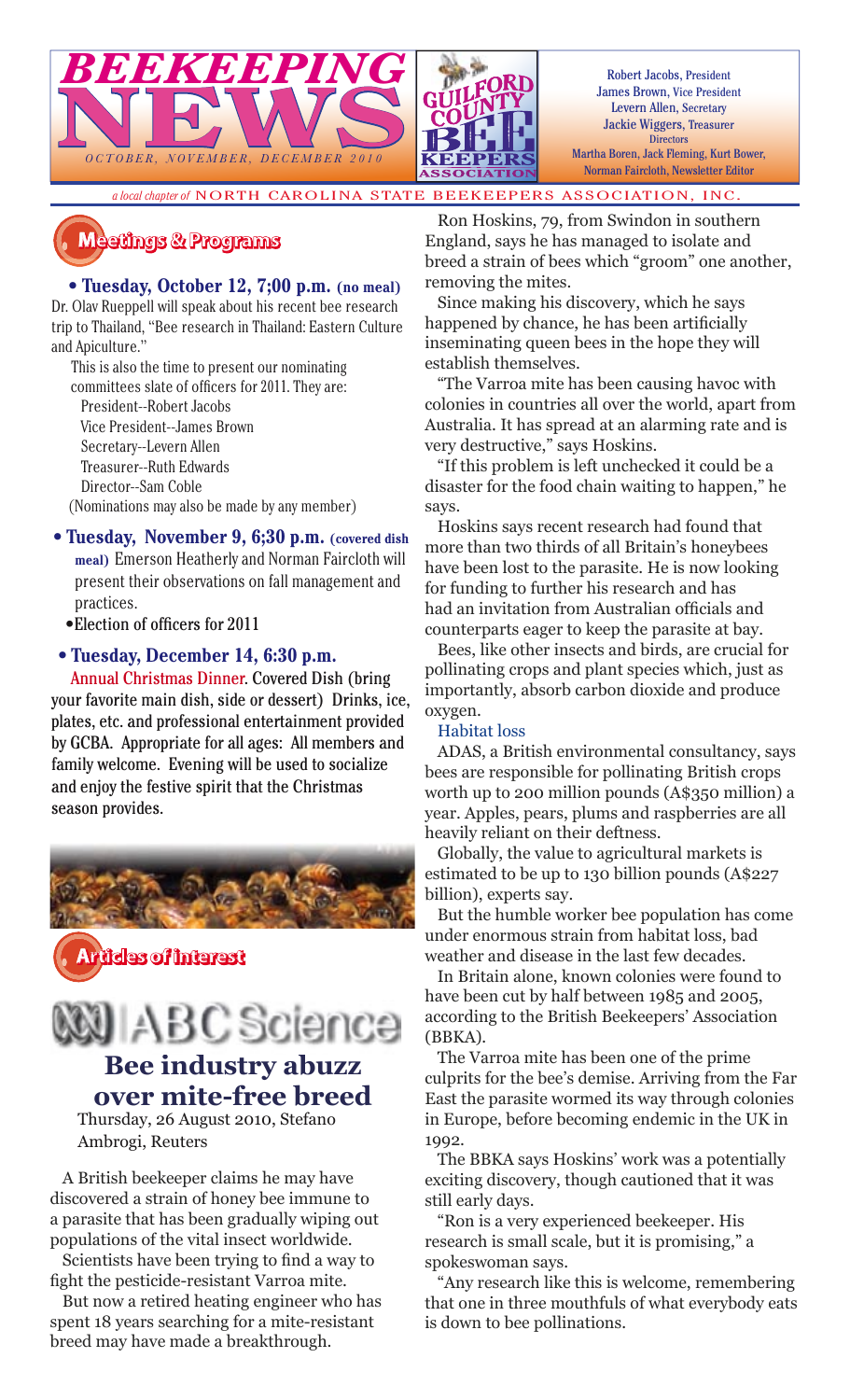

*a local chapter of* NORTH CAROLINA STATE BEEKEEPERS ASSOCIATION, INC.



#### • **Tuesday, October 12, 7;00 p.m. (no meal)**

*BEEKEEPING*

BEEKEEPING

 $O\,C\,TO\,BER, \quad NO\,VEMBER, \quad DEC\,EMBER$ 

Dr. Olav Rueppell will speak about his recent bee research trip to Thailand, "Bee research in Thailand: Eastern Culture and Apiculture."

This is also the time to present our nominating

committees slate of officers for 2011. They are:

President--Robert Jacobs

Vice President--James Brown

Secretary--Levern Allen

 Treasurer--Ruth Edwards Director--Sam Coble

(Nominations may also be made by any member)

- **Tuesday, November 9, 6;30 p.m. (covered dish meal)** Emerson Heatherly and Norman Faircloth will present their observations on fall management and practices.
	- •Election of officers for 2011

#### • **Tuesday, December 14, 6:30 p.m.**

Annual Christmas Dinner. Covered Dish (bring your favorite main dish, side or dessert) Drinks, ice, plates, etc. and professional entertainment provided by GCBA. Appropriate for all ages: All members and family welcome. Evening will be used to socialize and enjoy the festive spirit that the Christmas season provides.



**������������������������������������**



Thursday, 26 August 2010, Stefano Ambrogi, Reuters

A British beekeeper claims he may have discovered a strain of honey bee immune to a parasite that has been gradually wiping out populations of the vital insect worldwide.

Scientists have been trying to find a way to fight the pesticide-resistant Varroa mite.

But now a retired heating engineer who has spent 18 years searching for a mite-resistant breed may have made a breakthrough.

Ron Hoskins, 79, from Swindon in southern England, says he has managed to isolate and breed a strain of bees which "groom" one another, removing the mites.

Since making his discovery, which he says happened by chance, he has been artificially inseminating queen bees in the hope they will establish themselves.

"The Varroa mite has been causing havoc with colonies in countries all over the world, apart from Australia. It has spread at an alarming rate and is very destructive," says Hoskins.

"If this problem is left unchecked it could be a disaster for the food chain waiting to happen," he says.

Hoskins says recent research had found that more than two thirds of all Britain's honeybees have been lost to the parasite. He is now looking for funding to further his research and has had an invitation from Australian officials and counterparts eager to keep the parasite at bay.

Bees, like other insects and birds, are crucial for pollinating crops and plant species which, just as importantly, absorb carbon dioxide and produce oxygen.

#### Habitat loss

ADAS, a British environmental consultancy, says bees are responsible for pollinating British crops worth up to 200 million pounds (A\$350 million) a year. Apples, pears, plums and raspberries are all heavily reliant on their deftness.

Globally, the value to agricultural markets is estimated to be up to 130 billion pounds (A\$227 billion), experts say.

But the humble worker bee population has come under enormous strain from habitat loss, bad weather and disease in the last few decades.

In Britain alone, known colonies were found to have been cut by half between 1985 and 2005, according to the British Beekeepers' Association (BBKA).

The Varroa mite has been one of the prime culprits for the bee's demise. Arriving from the Far East the parasite wormed its way through colonies in Europe, before becoming endemic in the UK in 1992.

The BBKA says Hoskins' work was a potentially exciting discovery, though cautioned that it was still early days.

"Ron is a very experienced beekeeper. His research is small scale, but it is promising," a spokeswoman says.

"Any research like this is welcome, remembering that one in three mouthfuls of what everybody eats is down to bee pollinations.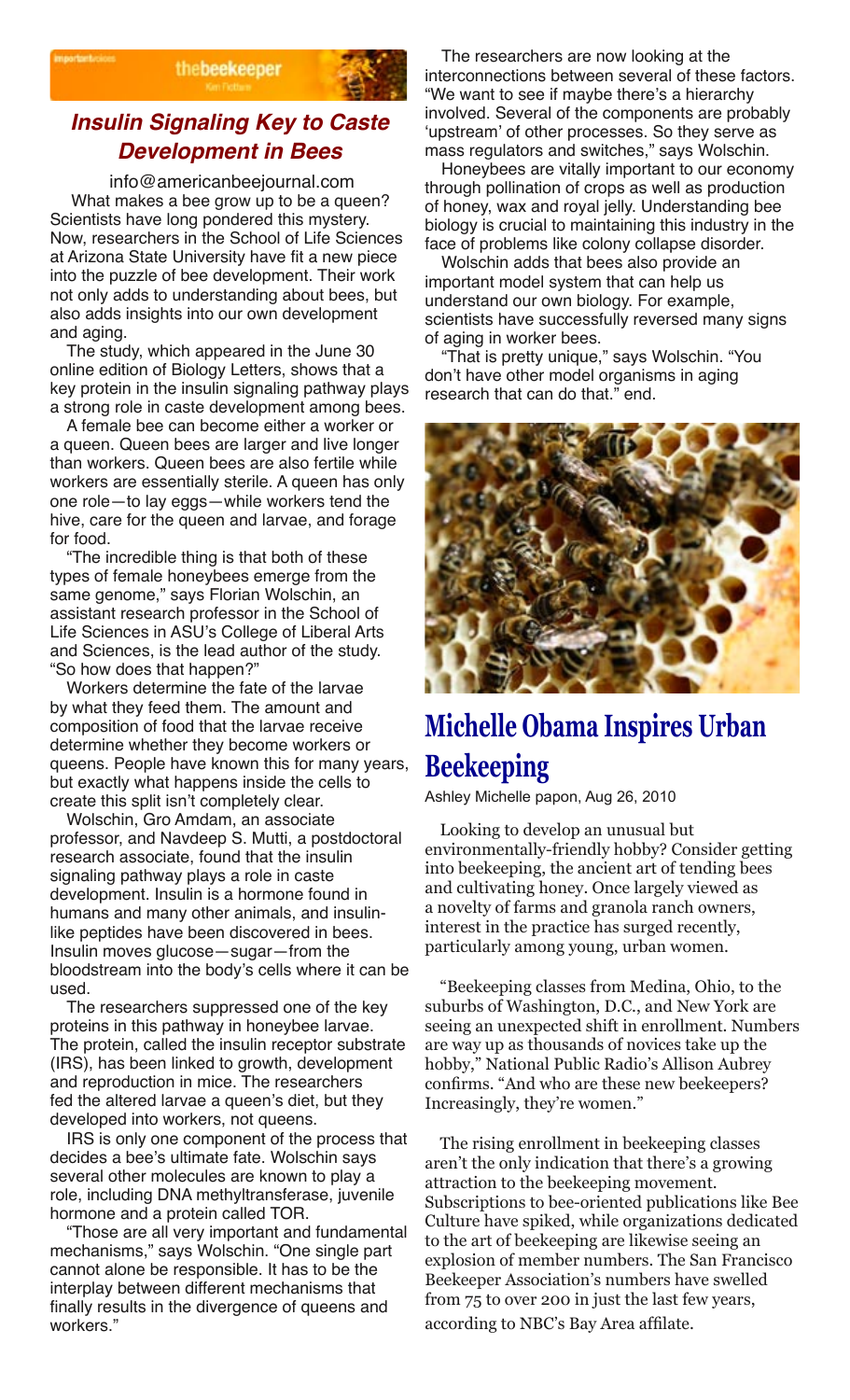



#### **Insulin Signaling Key to Caste Development in Bees**

 info@americanbeejournal.com What makes a bee grow up to be a queen? Scientists have long pondered this mystery. Now, researchers in the School of Life Sciences at Arizona State University have fit a new piece into the puzzle of bee development. Their work not only adds to understanding about bees, but also adds insights into our own development and aging.

The study, which appeared in the June 30 online edition of Biology Letters, shows that a key protein in the insulin signaling pathway plays a strong role in caste development among bees.

A female bee can become either a worker or a queen. Queen bees are larger and live longer than workers. Queen bees are also fertile while workers are essentially sterile. A queen has only one role—to lay eggs—while workers tend the hive, care for the queen and larvae, and forage for food.

"The incredible thing is that both of these types of female honeybees emerge from the same genome," says Florian Wolschin, an assistant research professor in the School of Life Sciences in ASU's College of Liberal Arts and Sciences, is the lead author of the study. "So how does that happen?"

Workers determine the fate of the larvae by what they feed them. The amount and composition of food that the larvae receive determine whether they become workers or queens. People have known this for many years, but exactly what happens inside the cells to create this split isn't completely clear.

Wolschin, Gro Amdam, an associate professor, and Navdeep S. Mutti, a postdoctoral research associate, found that the insulin signaling pathway plays a role in caste development. Insulin is a hormone found in humans and many other animals, and insulinlike peptides have been discovered in bees. Insulin moves glucose—sugar—from the bloodstream into the body's cells where it can be used.

The researchers suppressed one of the key proteins in this pathway in honeybee larvae. The protein, called the insulin receptor substrate (IRS), has been linked to growth, development and reproduction in mice. The researchers fed the altered larvae a queen's diet, but they developed into workers, not queens.

IRS is only one component of the process that decides a bee's ultimate fate. Wolschin says several other molecules are known to play a role, including DNA methyltransferase, juvenile hormone and a protein called TOR.

"Those are all very important and fundamental mechanisms," says Wolschin. "One single part cannot alone be responsible. It has to be the interplay between different mechanisms that finally results in the divergence of queens and workers."

The researchers are now looking at the interconnections between several of these factors. "We want to see if maybe there's a hierarchy involved. Several of the components are probably 'upstream' of other processes. So they serve as mass regulators and switches," says Wolschin.

Honeybees are vitally important to our economy through pollination of crops as well as production of honey, wax and royal jelly. Understanding bee biology is crucial to maintaining this industry in the face of problems like colony collapse disorder.

Wolschin adds that bees also provide an important model system that can help us understand our own biology. For example, scientists have successfully reversed many signs of aging in worker bees.

"That is pretty unique," says Wolschin. "You don't have other model organisms in aging research that can do that." end.



# **Michelle Obama Inspires Urban Beekeeping**

Ashley Michelle papon, Aug 26, 2010

Looking to develop an unusual but environmentally-friendly hobby? Consider getting into beekeeping, the ancient art of tending bees and cultivating honey. Once largely viewed as a novelty of farms and granola ranch owners, interest in the practice has surged recently, particularly among young, urban women.

"Beekeeping classes from Medina, Ohio, to the suburbs of Washington, D.C., and New York are seeing an unexpected shift in enrollment. Numbers are way up as thousands of novices take up the hobby," National Public Radio's Allison Aubrey confirms. "And who are these new beekeepers? Increasingly, they're women."

The rising enrollment in beekeeping classes aren't the only indication that there's a growing attraction to the beekeeping movement. Subscriptions to bee-oriented publications like Bee Culture have spiked, while organizations dedicated to the art of beekeeping are likewise seeing an explosion of member numbers. The San Francisco Beekeeper Association's numbers have swelled from 75 to over 200 in just the last few years, according to NBC's Bay Area affilate.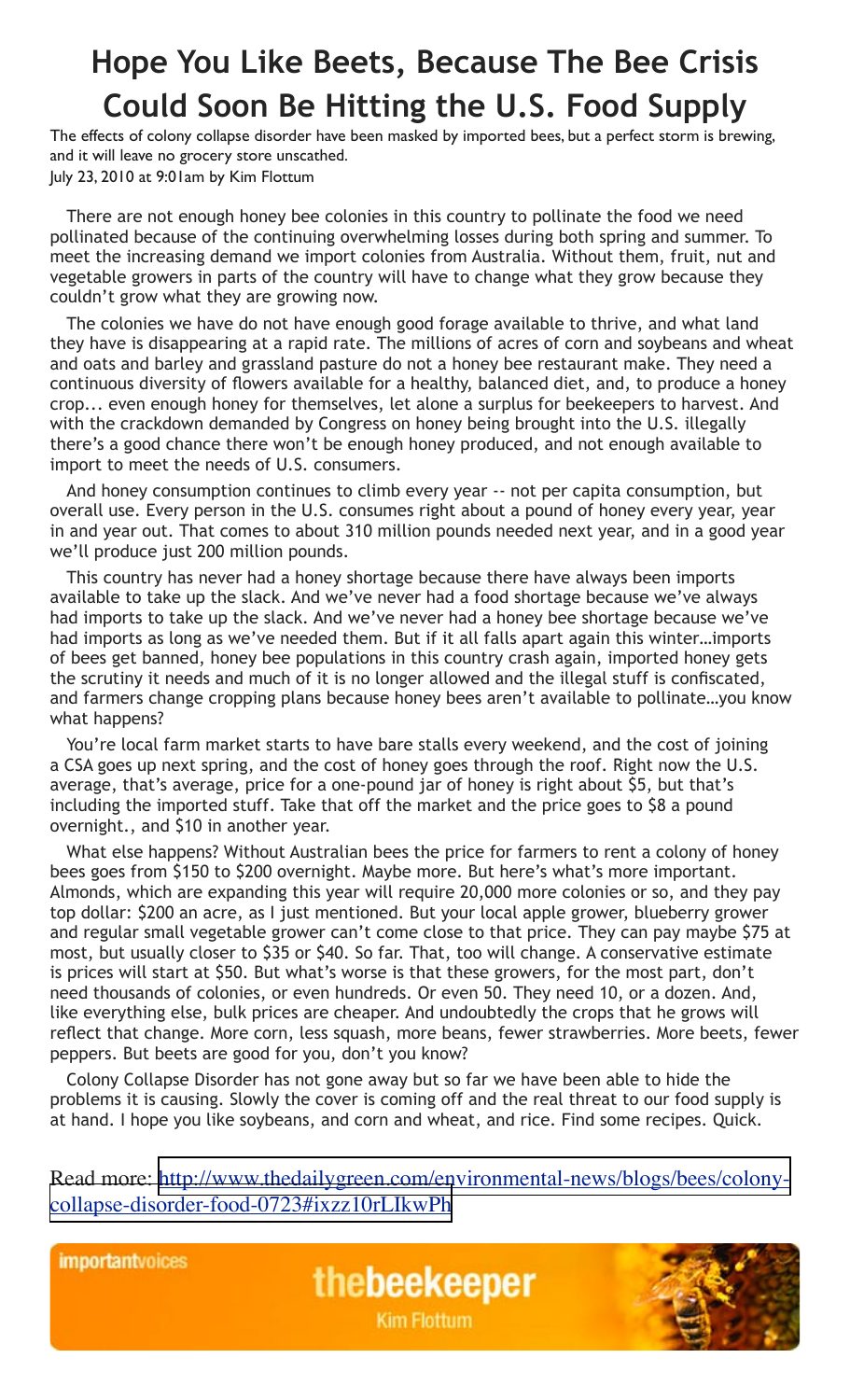# **Hope You Like Beets, Because The Bee Crisis Could Soon Be Hitting the U.S. Food Supply**

The effects of colony collapse disorder have been masked by imported bees, but a perfect storm is brewing, and it will leave no grocery store unscathed. July 23, 2010 at 9:01am by Kim Flottum

There are not enough honey bee colonies in this country to pollinate the food we need pollinated because of the continuing overwhelming losses during both spring and summer. To meet the increasing demand we import colonies from Australia. Without them, fruit, nut and vegetable growers in parts of the country will have to change what they grow because they couldn't grow what they are growing now.

The colonies we have do not have enough good forage available to thrive, and what land they have is disappearing at a rapid rate. The millions of acres of corn and soybeans and wheat and oats and barley and grassland pasture do not a honey bee restaurant make. They need a continuous diversity of flowers available for a healthy, balanced diet, and, to produce a honey crop... even enough honey for themselves, let alone a surplus for beekeepers to harvest. And with the crackdown demanded by Congress on honey being brought into the U.S. illegally there's a good chance there won't be enough honey produced, and not enough available to import to meet the needs of U.S. consumers.

And honey consumption continues to climb every year -- not per capita consumption, but overall use. Every person in the U.S. consumes right about a pound of honey every year, year in and year out. That comes to about 310 million pounds needed next year, and in a good year we'll produce just 200 million pounds.

This country has never had a honey shortage because there have always been imports available to take up the slack. And we've never had a food shortage because we've always had imports to take up the slack. And we've never had a honey bee shortage because we've had imports as long as we've needed them. But if it all falls apart again this winter…imports of bees get banned, honey bee populations in this country crash again, imported honey gets the scrutiny it needs and much of it is no longer allowed and the illegal stuff is confiscated, and farmers change cropping plans because honey bees aren't available to pollinate…you know what happens?

You're local farm market starts to have bare stalls every weekend, and the cost of joining a CSA goes up next spring, and the cost of honey goes through the roof. Right now the U.S. average, that's average, price for a one-pound jar of honey is right about \$5, but that's including the imported stuff. Take that off the market and the price goes to \$8 a pound overnight., and \$10 in another year.

What else happens? Without Australian bees the price for farmers to rent a colony of honey bees goes from \$150 to \$200 overnight. Maybe more. But here's what's more important. Almonds, which are expanding this year will require 20,000 more colonies or so, and they pay top dollar: \$200 an acre, as I just mentioned. But your local apple grower, blueberry grower and regular small vegetable grower can't come close to that price. They can pay maybe \$75 at most, but usually closer to \$35 or \$40. So far. That, too will change. A conservative estimate is prices will start at \$50. But what's worse is that these growers, for the most part, don't need thousands of colonies, or even hundreds. Or even 50. They need 10, or a dozen. And, like everything else, bulk prices are cheaper. And undoubtedly the crops that he grows will reflect that change. More corn, less squash, more beans, fewer strawberries. More beets, fewer peppers. But beets are good for you, don't you know?

Colony Collapse Disorder has not gone away but so far we have been able to hide the problems it is causing. Slowly the cover is coming off and the real threat to our food supply is at hand. I hope you like soybeans, and corn and wheat, and rice. Find some recipes. Quick.

Read more: [http://www.thedailygreen.com/environmental-news/blogs/bees/colony](http://www.thedailygreen.com/environmental-news/blogs/bees/colony-collapse-disorder-food-0723#ixzz10rLIkwPh)[collapse-disorder-food-0723#ixzz10rLIkwPh](http://www.thedailygreen.com/environmental-news/blogs/bees/colony-collapse-disorder-food-0723#ixzz10rLIkwPh)

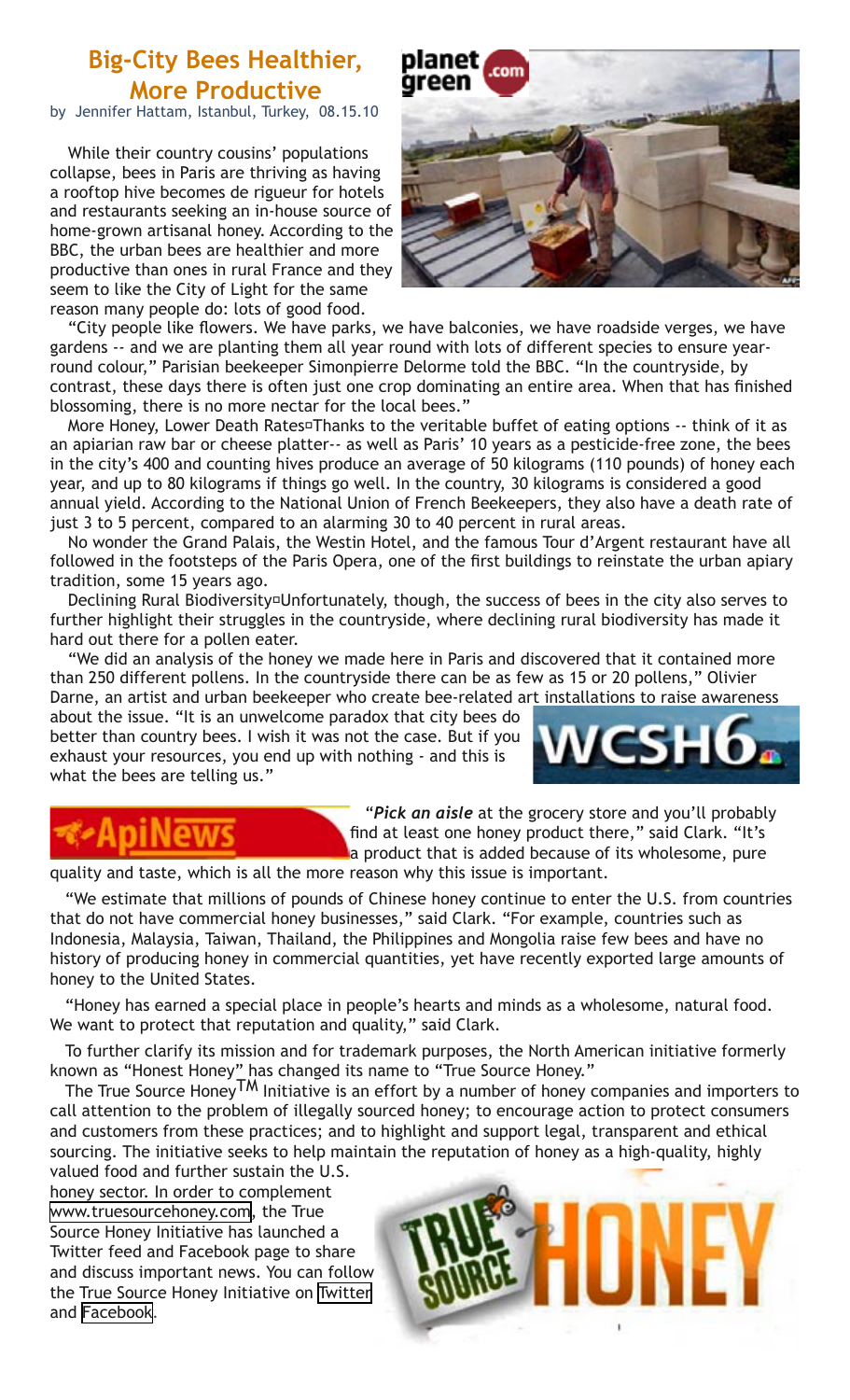### **Big-City Bees Healthier, More Productive**

by Jennifer Hattam, Istanbul, Turkey, 08.15.10

While their country cousins' populations collapse, bees in Paris are thriving as having a rooftop hive becomes de rigueur for hotels and restaurants seeking an in-house source of home-grown artisanal honey. According to the BBC, the urban bees are healthier and more productive than ones in rural France and they seem to like the City of Light for the same reason many people do: lots of good food.



"City people like flowers. We have parks, we have balconies, we have roadside verges, we have gardens -- and we are planting them all year round with lots of different species to ensure yearround colour," Parisian beekeeper Simonpierre Delorme told the BBC. "In the countryside, by contrast, these days there is often just one crop dominating an entire area. When that has finished blossoming, there is no more nectar for the local bees."

More Honey, Lower Death Rates¤Thanks to the veritable buffet of eating options -- think of it as an apiarian raw bar or cheese platter-- as well as Paris' 10 years as a pesticide-free zone, the bees in the city's 400 and counting hives produce an average of 50 kilograms (110 pounds) of honey each year, and up to 80 kilograms if things go well. In the country, 30 kilograms is considered a good annual yield. According to the National Union of French Beekeepers, they also have a death rate of just 3 to 5 percent, compared to an alarming 30 to 40 percent in rural areas.

No wonder the Grand Palais, the Westin Hotel, and the famous Tour d'Argent restaurant have all followed in the footsteps of the Paris Opera, one of the first buildings to reinstate the urban apiary tradition, some 15 years ago.

Declining Rural Biodiversity<sup>[Dreerer at algeta</sup> though, the success of bees in the city also serves to further highlight their struggles in the countryside, where declining rural biodiversity has made it hard out there for a pollen eater.

"We did an analysis of the honey we made here in Paris and discovered that it contained more than 250 different pollens. In the countryside there can be as few as 15 or 20 pollens," Olivier Darne, an artist and urban beekeeper who create bee-related art installations to raise awareness

about the issue. "It is an unwelcome paradox that city bees do better than country bees. I wish it was not the case. But if you exhaust your resources, you end up with nothing - and this is what the bees are telling us."



"*Pick an aisle* at the grocery store and you'll probably find at least one honey product there," said Clark. "It's a product that is added because of its wholesome, pure

quality and taste, which is all the more reason why this issue is important.

"We estimate that millions of pounds of Chinese honey continue to enter the U.S. from countries that do not have commercial honey businesses," said Clark. "For example, countries such as Indonesia, Malaysia, Taiwan, Thailand, the Philippines and Mongolia raise few bees and have no history of producing honey in commercial quantities, yet have recently exported large amounts of honey to the United States.

"Honey has earned a special place in people's hearts and minds as a wholesome, natural food. We want to protect that reputation and quality," said Clark.

To further clarify its mission and for trademark purposes, the North American initiative formerly known as "Honest Honey" has changed its name to "True Source Honey."

The True Source Honey<sup>TM</sup> Initiative is an effort by a number of honey companies and importers to call attention to the problem of illegally sourced honey; to encourage action to protect consumers and customers from these practices; and to highlight and support legal, transparent and ethical sourcing. The initiative seeks to help maintain the reputation of honey as a high-quality, highly

valued food and further sustain the U.S. honey sector. In order to complement [www.truesourcehoney.com,](http://www.truesourcehoney.com/) the True Source Honey Initiative has launched a Twitter feed and Facebook page to share and discuss important news. You can follow the True Source Honey Initiative on [Twitter](http://twitter.com/TrueSourceHoney) and [Facebook.](http://www.facebook.com/home.php?#%21/pages/True-Source-Honey/142598785755162?ref=search)